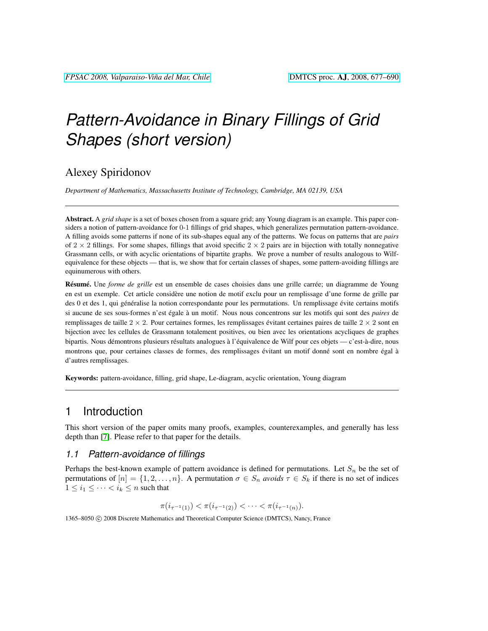# *Pattern-Avoidance in Binary Fillings of Grid Shapes (short version)*

# Alexey Spiridonov

*Department of Mathematics, Massachusetts Institute of Technology, Cambridge, MA 02139, USA*

Abstract. A *grid shape* is a set of boxes chosen from a square grid; any Young diagram is an example. This paper considers a notion of pattern-avoidance for 0-1 fillings of grid shapes, which generalizes permutation pattern-avoidance. A filling avoids some patterns if none of its sub-shapes equal any of the patterns. We focus on patterns that are *pairs* of  $2 \times 2$  fillings. For some shapes, fillings that avoid specific  $2 \times 2$  pairs are in bijection with totally nonnegative Grassmann cells, or with acyclic orientations of bipartite graphs. We prove a number of results analogous to Wilfequivalence for these objects — that is, we show that for certain classes of shapes, some pattern-avoiding fillings are equinumerous with others.

Résumé. Une *forme de grille* est un ensemble de cases choisies dans une grille carrée; un diagramme de Young en est un exemple. Cet article considère une notion de motif exclu pour un remplissage d'une forme de grille par des 0 et des 1, qui généralise la notion correspondante pour les permutations. Un remplissage évite certains motifs si aucune de ses sous-formes n'est égale à un motif. Nous nous concentrons sur les motifs qui sont des *paires* de remplissages de taille  $2 \times 2$ . Pour certaines formes, les remplissages évitant certaines paires de taille  $2 \times 2$  sont en bijection avec les cellules de Grassmann totalement positives, ou bien avec les orientations acycliques de graphes bipartis. Nous démontrons plusieurs résultats analogues à l'équivalence de Wilf pour ces objets — c'est-à-dire, nous montrons que, pour certaines classes de formes, des remplissages évitant un motif donné sont en nombre égal à d'autres remplissages.

Keywords: pattern-avoidance, filling, grid shape, Le-diagram, acyclic orientation, Young diagram

## 1 Introduction

This short version of the paper omits many proofs, examples, counterexamples, and generally has less depth than [\[7\]](#page-13-0). Please refer to that paper for the details.

#### *1.1 Pattern-avoidance of fillings*

Perhaps the best-known example of pattern avoidance is defined for permutations. Let  $S_n$  be the set of permutations of  $[n] = \{1, 2, \ldots, n\}$ . A permutation  $\sigma \in S_n$  *avoids*  $\tau \in S_k$  if there is no set of indices  $1 \leq i_1 \leq \cdots \leq i_k \leq n$  such that

$$
\pi(i_{\tau^{-1}(1)}) < \pi(i_{\tau^{-1}(2)}) < \cdots < \pi(i_{\tau^{-1}(n)})
$$

1365–8050 (C) 2008 Discrete Mathematics and Theoretical Computer Science (DMTCS), Nancy, France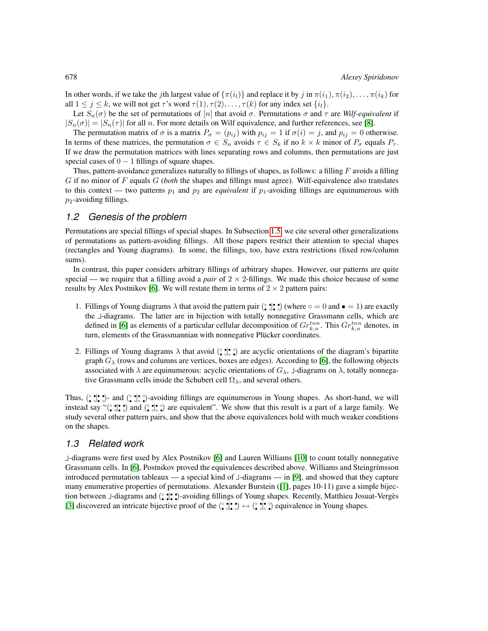In other words, if we take the jth largest value of  $\{\pi(i_l)\}\$  and replace it by j in  $\pi(i_1), \pi(i_2), \ldots, \pi(i_k)$  for all  $1 \le j \le k$ , we will not get  $\tau$ 's word  $\tau(1), \tau(2), \ldots, \tau(k)$  for any index set  $\{i_l\}$ .

Let  $S_n(\sigma)$  be the set of permutations of  $[n]$  that avoid  $\sigma$ . Permutations  $\sigma$  and  $\tau$  are *Wilf-equivalent* if  $|S_n(\sigma)| = |S_n(\tau)|$  for all n. For more details on Wilf equivalence, and further references, see [\[8\]](#page-13-1).

The permutation matrix of  $\sigma$  is a matrix  $P_{\sigma} = (p_{ij})$  with  $p_{ij} = 1$  if  $\sigma(i) = j$ , and  $p_{ij} = 0$  otherwise. In terms of these matrices, the permutation  $\sigma \in S_n$  avoids  $\tau \in S_k$  if no  $k \times k$  minor of  $P_{\sigma}$  equals  $P_{\tau}$ . If we draw the permutation matrices with lines separating rows and columns, then permutations are just special cases of  $0 - 1$  fillings of square shapes.

Thus, pattern-avoidance generalizes naturally to fillings of shapes, as follows: a filling  $F$  avoids a filling G if no minor of F equals G (*both* the shapes and fillings must agree). Wilf-equivalence also translates to this context — two patterns  $p_1$  and  $p_2$  are *equivalent* if  $p_1$ -avoiding fillings are equinumerous with  $p_2$ -avoiding fillings.

#### *1.2 Genesis of the problem*

Permutations are special fillings of special shapes. In Subsection [1.5,](#page-2-0) we cite several other generalizations of permutations as pattern-avoiding fillings. All those papers restrict their attention to special shapes (rectangles and Young diagrams). In some, the fillings, too, have extra restrictions (fixed row/column sums).

In contrast, this paper considers arbitrary fillings of arbitrary shapes. However, our patterns are quite special — we require that a filling avoid a *pair* of  $2 \times 2$ -fillings. We made this choice because of some results by Alex Postnikov [\[6\]](#page-13-2). We will restate them in terms of  $2 \times 2$  pattern pairs:

- 1. Fillings of Young diagrams  $\lambda$  that avoid the pattern pair  $(\frac{•}{•} \cdot \frac{•}{•} \cdot \cdot)$  (where  $\circ = 0$  and  $\bullet = 1$ ) are exactly the J-diagrams. The latter are in bijection with totally nonnegative Grassmann cells, which are defined in [\[6\]](#page-13-2) as elements of a particular cellular decomposition of  $Gr_{k,n}^{tnn}$ . This  $Gr_{k,n}^{tnn}$  denotes, in turn, elements of the Grassmannian with nonnegative Plücker coordinates.
- 2. Fillings of Young diagrams  $\lambda$  that avoid  $(\hat{\bullet}, \hat{\bullet}, \hat{\bullet})$  are acyclic orientations of the diagram's bipartite graph  $G_\lambda$  (rows and columns are vertices, boxes are edges). According to [\[6\]](#page-13-2), the following objects associated with  $\lambda$  are equinumerous: acyclic orientations of  $G_{\lambda}$ ,  $\bot$ -diagrams on  $\lambda$ , totally nonnegative Grassmann cells inside the Schubert cell  $\Omega_{\lambda}$ , and several others.

Thus,  $(\hat{\bullet}, \hat{\bullet}, \hat{\bullet})$ - and  $(\hat{\bullet}, \hat{\bullet}, \hat{\bullet})$ -avoiding fillings are equinumerous in Young shapes. As short-hand, we will instead say "( $\binom{•}{•}$ ,  $\binom{•}{•}$ ) and  $\binom{•}{•}$  of a large family. We show that this result is a part of a large family. We study several other pattern pairs, and show that the above equivalences hold with much weaker conditions on the shapes.

#### *1.3 Related work*

-diagrams were first used by Alex Postnikov [\[6\]](#page-13-2) and Lauren Williams [\[10\]](#page-13-3) to count totally nonnegative Grassmann cells. In [\[6\]](#page-13-2), Postnikov proved the equivalences described above. Williams and Steingrímsson introduced permutation tableaux — a special kind of  $\perp$ -diagrams — in [\[9\]](#page-13-4), and showed that they capture many enumerative properties of permutations. Alexander Burstein ([\[1\]](#page-13-5), pages 10-11) gave a simple bijection between -diagrams and ( ◦ • • •| • • • •)-avoiding fillings of Young shapes. Recently, Matthieu Josuat-Vergès [\[3\]](#page-13-6) discovered an intricate bijective proof of the  $(\cdot \bullet) \bullet (\cdot \bullet) \bullet \bullet \bullet)$  equivalence in Young shapes.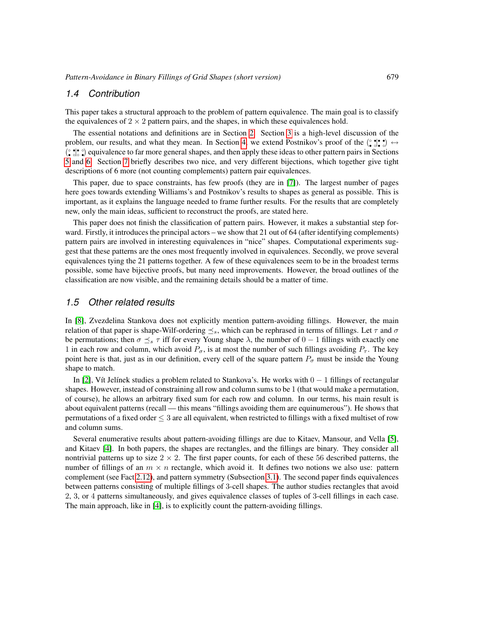#### *1.4 Contribution*

This paper takes a structural approach to the problem of pattern equivalence. The main goal is to classify the equivalences of  $2 \times 2$  pattern pairs, and the shapes, in which these equivalences hold.

The essential notations and definitions are in Section [2.](#page-3-0) Section [3](#page-4-0) is a high-level discussion of the problem, our results, and what they mean. In Section [4,](#page-7-0) we extend Postnikov's proof of the  $(\cdot, \cdot) \cdot$ (° ; • °) equivalence to far more general shapes, and then apply these ideas to other pattern pairs in Sections [5](#page-12-0) and [6.](#page-12-1) Section [7](#page-12-2) briefly describes two nice, and very different bijections, which together give tight descriptions of 6 more (not counting complements) pattern pair equivalences.

This paper, due to space constraints, has few proofs (they are in [\[7\]](#page-13-0)). The largest number of pages here goes towards extending Williams's and Postnikov's results to shapes as general as possible. This is important, as it explains the language needed to frame further results. For the results that are completely new, only the main ideas, sufficient to reconstruct the proofs, are stated here.

This paper does not finish the classification of pattern pairs. However, it makes a substantial step forward. Firstly, it introduces the principal actors – we show that 21 out of 64 (after identifying complements) pattern pairs are involved in interesting equivalences in "nice" shapes. Computational experiments suggest that these patterns are the ones most frequently involved in equivalences. Secondly, we prove several equivalences tying the 21 patterns together. A few of these equivalences seem to be in the broadest terms possible, some have bijective proofs, but many need improvements. However, the broad outlines of the classification are now visible, and the remaining details should be a matter of time.

#### <span id="page-2-0"></span>*1.5 Other related results*

In [\[8\]](#page-13-1), Zvezdelina Stankova does not explicitly mention pattern-avoiding fillings. However, the main relation of that paper is shape-Wilf-ordering  $\leq_s$ , which can be rephrased in terms of fillings. Let  $\tau$  and  $\sigma$ be permutations; then  $\sigma \preceq_s \tau$  iff for every Young shape  $\lambda$ , the number of  $0 - 1$  fillings with exactly one 1 in each row and column, which avoid  $P_{\sigma}$ , is at most the number of such fillings avoiding  $P_{\tau}$ . The key point here is that, just as in our definition, every cell of the square pattern  $P_{\sigma}$  must be inside the Young shape to match.

In [\[2\]](#page-13-7), Vít Jelínek studies a problem related to Stankova's. He works with  $0 - 1$  fillings of rectangular shapes. However, instead of constraining all row and column sums to be 1 (that would make a permutation, of course), he allows an arbitrary fixed sum for each row and column. In our terms, his main result is about equivalent patterns (recall — this means "fillings avoiding them are equinumerous"). He shows that permutations of a fixed order  $\leq$  3 are all equivalent, when restricted to fillings with a fixed multiset of row and column sums.

Several enumerative results about pattern-avoiding fillings are due to Kitaev, Mansour, and Vella [\[5\]](#page-13-8), and Kitaev [\[4\]](#page-13-9). In both papers, the shapes are rectangles, and the fillings are binary. They consider all nontrivial patterns up to size  $2 \times 2$ . The first paper counts, for each of these 56 described patterns, the number of fillings of an  $m \times n$  rectangle, which avoid it. It defines two notions we also use: pattern complement (see Fact [2.12\)](#page-4-1), and pattern symmetry (Subsection [3.1\)](#page-4-2). The second paper finds equivalences between patterns consisting of multiple fillings of 3-cell shapes. The author studies rectangles that avoid 2, 3, or 4 patterns simultaneously, and gives equivalence classes of tuples of 3-cell fillings in each case. The main approach, like in [\[4\]](#page-13-9), is to explicitly count the pattern-avoiding fillings.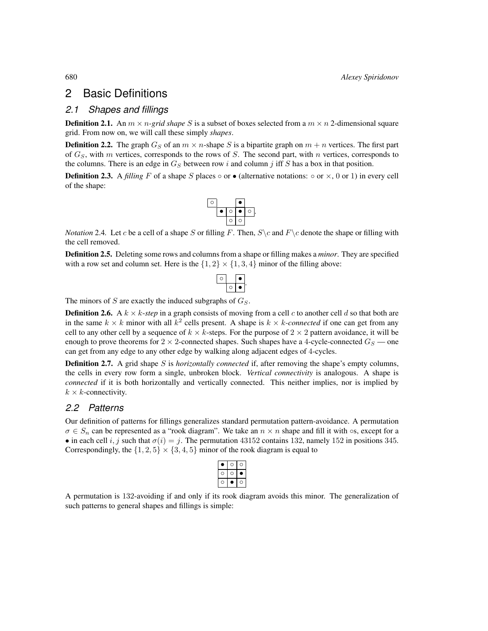### <span id="page-3-0"></span>2 Basic Definitions

#### *2.1 Shapes and fillings*

**Definition 2.1.** An  $m \times n$ -grid shape S is a subset of boxes selected from a  $m \times n$  2-dimensional square grid. From now on, we will call these simply *shapes*.

<span id="page-3-2"></span>**Definition 2.2.** The graph  $G_S$  of an  $m \times n$ -shape S is a bipartite graph on  $m + n$  vertices. The first part of  $G<sub>S</sub>$ , with m vertices, corresponds to the rows of S. The second part, with n vertices, corresponds to the columns. There is an edge in  $G<sub>S</sub>$  between row i and column j iff S has a box in that position.

**Definition 2.3.** A *filling* F of a shape S places  $\circ$  or  $\bullet$  (alternative notations:  $\circ$  or  $\times$ , 0 or 1) in every cell of the shape:



*Notation* 2.4. Let c be a cell of a shape S or filling F. Then,  $S \ c$  and  $F \ c$  denote the shape or filling with the cell removed.

Definition 2.5. Deleting some rows and columns from a shape or filling makes a *minor*. They are specified with a row set and column set. Here is the  $\{1, 2\} \times \{1, 3, 4\}$  minor of the filling above:

The minors of  $S$  are exactly the induced subgraphs of  $G_S$ .

**Definition 2.6.** A  $k \times k$ -step in a graph consists of moving from a cell c to another cell d so that both are in the same  $k \times k$  minor with all  $k^2$  cells present. A shape is  $k \times k$ -connected if one can get from any cell to any other cell by a sequence of  $k \times k$ -steps. For the purpose of  $2 \times 2$  pattern avoidance, it will be enough to prove theorems for  $2 \times 2$ -connected shapes. Such shapes have a 4-cycle-connected  $G_S$  — one can get from any edge to any other edge by walking along adjacent edges of 4-cycles.

<span id="page-3-1"></span>**Definition 2.7.** A grid shape S is *horizontally connected* if, after removing the shape's empty columns, the cells in every row form a single, unbroken block. *Vertical connectivity* is analogous. A shape is *connected* if it is both horizontally and vertically connected. This neither implies, nor is implied by  $k \times k$ -connectivity.

#### *2.2 Patterns*

Our definition of patterns for fillings generalizes standard permutation pattern-avoidance. A permutation  $\sigma \in S_n$  can be represented as a "rook diagram". We take an  $n \times n$  shape and fill it with  $\circ$ s, except for a • in each cell i, j such that  $\sigma(i) = j$ . The permutation 43152 contains 132, namely 152 in positions 345. Correspondingly, the  $\{1, 2, 5\} \times \{3, 4, 5\}$  minor of the rook diagram is equal to

A permutation is 132-avoiding if and only if its rook diagram avoids this minor. The generalization of such patterns to general shapes and fillings is simple: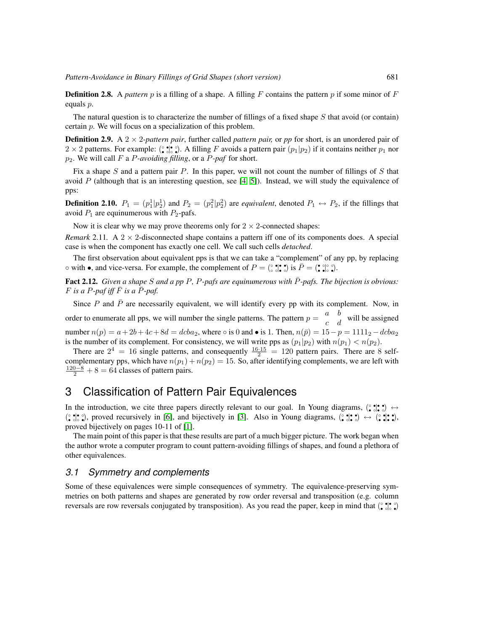**Definition 2.8.** A *pattern* p is a filling of a shape. A filling F contains the pattern p if some minor of F equals p.

The natural question is to characterize the number of fillings of a fixed shape S that avoid (or contain) certain p. We will focus on a specialization of this problem.

**Definition 2.9.** A  $2 \times 2$ -pattern pair, further called *pattern pair*, or pp for short, is an unordered pair of  $2 \times 2$  patterns. For example:  $(\circ \circ) \circ$ . A filling F avoids a pattern pair  $(p_1|p_2)$  if it contains neither  $p_1$  nor p2. We will call F a P*-avoiding filling*, or a P*-paf* for short.

Fix a shape S and a pattern pair P. In this paper, we will not count the number of fillings of S that avoid P (although that is an interesting question, see  $[4, 5]$  $[4, 5]$ ). Instead, we will study the equivalence of pps:

**Definition 2.10.**  $P_1 = (p_1^1|p_2^1)$  and  $P_2 = (p_1^2|p_2^2)$  are *equivalent*, denoted  $P_1 \leftrightarrow P_2$ , if the fillings that avoid  $P_1$  are equinumerous with  $P_2$ -pafs.

Now it is clear why we may prove theorems only for  $2 \times 2$ -connected shapes:

<span id="page-4-3"></span>*Remark* 2.11. A  $2 \times 2$ -disconnected shape contains a pattern iff one of its components does. A special case is when the component has exactly one cell. We call such cells *detached*.

The first observation about equivalent pps is that we can take a "complement" of any pp, by replacing  $\circ$  with •, and vice-versa. For example, the complement of  $P = (\circ \circ | \circ \circ)$  is  $\overline{P} = (\circ \circ | \circ \circ)$ .

<span id="page-4-1"></span>Fact 2.12. *Given a shape S and a pp P, P-pafs are equinumerous with*  $\overline{P}$ -pafs. The bijection is obvious:  $F$  *is a*  $P$ *-paf iff*  $\overline{F}$  *is a*  $\overline{P}$ *-paf.* 

Since P and  $\bar{P}$  are necessarily equivalent, we will identify every pp with its complement. Now, in order to enumerate all pps, we will number the single patterns. The pattern  $p = \begin{pmatrix} a & b \\ c & d \end{pmatrix}$  will be assigned number  $n(p) = a + 2b + 4c + 8d = dcba_2$ , where ∘ is 0 and • is 1. Then,  $n(\bar{p}) = 15 - p = 1111_2 - dcba_2$ is the number of its complement. For consistency, we will write pps as  $(p_1|p_2)$  with  $n(p_1) < n(p_2)$ .

There are  $2^4 = 16$  single patterns, and consequently  $\frac{16 \cdot 15}{2} = 120$  pattern pairs. There are 8 selfcomplementary pps, which have  $n(p_1) + n(p_2) = 15$ . So, after identifying complements, we are left with  $\frac{120-8}{2}$  + 8 = 64 classes of pattern pairs.

# <span id="page-4-0"></span>3 Classification of Pattern Pair Equivalences

In the introduction, we cite three papers directly relevant to our goal. In Young diagrams,  $(\hat{\bullet}, \hat{\bullet}, \bullet) \leftrightarrow$  $(\hat{\bullet}, \hat{\bullet}, \hat{\bullet})$ , proved recursively in [\[6\]](#page-13-2), and bijectively in [\[3\]](#page-13-6). Also in Young diagrams,  $(\hat{\bullet}, \hat{\bullet}, \hat{\bullet}) \leftrightarrow (\hat{\bullet}, \hat{\bullet}, \hat{\bullet})$ proved bijectively on pages 10-11 of [\[1\]](#page-13-5).

The main point of this paper is that these results are part of a much bigger picture. The work began when the author wrote a computer program to count pattern-avoiding fillings of shapes, and found a plethora of other equivalences.

#### <span id="page-4-2"></span>*3.1 Symmetry and complements*

Some of these equivalences were simple consequences of symmetry. The equivalence-preserving symmetries on both patterns and shapes are generated by row order reversal and transposition (e.g. column reversals are row reversals conjugated by transposition). As you read the paper, keep in mind that  $(\frac{•}{•} \cdot \frac{•}{•} \cdot \frac{•}{•})$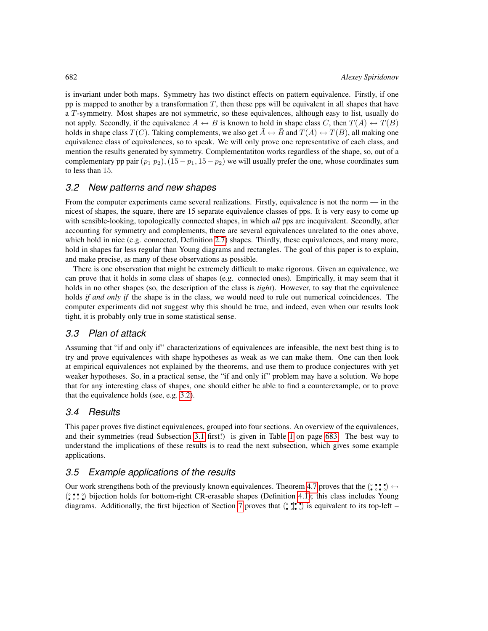is invariant under both maps. Symmetry has two distinct effects on pattern equivalence. Firstly, if one pp is mapped to another by a transformation  $T$ , then these pps will be equivalent in all shapes that have a T-symmetry. Most shapes are not symmetric, so these equivalences, although easy to list, usually do not apply. Secondly, if the equivalence  $A \leftrightarrow B$  is known to hold in shape class C, then  $T(A) \leftrightarrow T(B)$ holds in shape class  $T(C)$ . Taking complements, we also get  $\bar{A} \leftrightarrow \bar{B}$  and  $T(A) \leftrightarrow T(B)$ , all making one equivalence class of equivalences, so to speak. We will only prove one representative of each class, and mention the results generated by symmetry. Complementatiton works regardless of the shape, so, out of a complementary pp pair  $(p_1|p_2)$ ,  $(15-p_1, 15-p_2)$  we will usually prefer the one, whose coordinates sum to less than 15.

#### *3.2 New patterns and new shapes*

From the computer experiments came several realizations. Firstly, equivalence is not the norm — in the nicest of shapes, the square, there are 15 separate equivalence classes of pps. It is very easy to come up with sensible-looking, topologically connected shapes, in which *all* pps are inequivalent. Secondly, after accounting for symmetry and complements, there are several equivalences unrelated to the ones above, which hold in nice (e.g. connected, Definition [2.7\)](#page-3-1) shapes. Thirdly, these equivalences, and many more, hold in shapes far less regular than Young diagrams and rectangles. The goal of this paper is to explain, and make precise, as many of these observations as possible.

There is one observation that might be extremely difficult to make rigorous. Given an equivalence, we can prove that it holds in some class of shapes (e.g. connected ones). Empirically, it may seem that it holds in no other shapes (so, the description of the class is *tight*). However, to say that the equivalence holds *if and only if* the shape is in the class, we would need to rule out numerical coincidences. The computer experiments did not suggest why this should be true, and indeed, even when our results look tight, it is probably only true in some statistical sense.

#### *3.3 Plan of attack*

Assuming that "if and only if" characterizations of equivalences are infeasible, the next best thing is to try and prove equivalences with shape hypotheses as weak as we can make them. One can then look at empirical equivalences not explained by the theorems, and use them to produce conjectures with yet weaker hypotheses. So, in a practical sense, the "if and only if" problem may have a solution. We hope that for any interesting class of shapes, one should either be able to find a counterexample, or to prove that the equivalence holds (see, e.g. [3.2\)](#page-7-1).

#### *3.4 Results*

This paper proves five distinct equivalences, grouped into four sections. An overview of the equivalences, and their symmetries (read Subsection [3.1](#page-4-2) first!) is given in Table [1](#page-6-0) on page [683.](#page-6-0) The best way to understand the implications of these results is to read the next subsection, which gives some example applications.

#### *3.5 Example applications of the results*

Our work strengthens both of the previously known equivalences. Theorem [4.7](#page-11-0) proves that the  $(\cdot, \cdot) \cdot \rightarrow$ (° ; • °) bijection holds for bottom-right CR-erasable shapes (Definition [4.1\)](#page-8-0); this class includes Young diagrams. Additionally, the first bijection of Section [7](#page-12-2) proves that  $(\hat{\bullet}, \hat{\bullet}, \bullet)$  is equivalent to its top-left –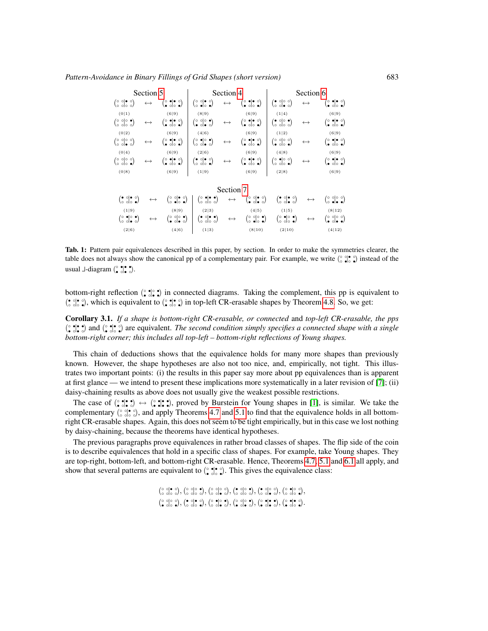| Section 5                                                                                                          |                       |                                                                                                                  | Section 4                                                                                                                 |                       | Section 6                                                                                                      |                                                                                                                  |                       |                                                                                                                |
|--------------------------------------------------------------------------------------------------------------------|-----------------------|------------------------------------------------------------------------------------------------------------------|---------------------------------------------------------------------------------------------------------------------------|-----------------------|----------------------------------------------------------------------------------------------------------------|------------------------------------------------------------------------------------------------------------------|-----------------------|----------------------------------------------------------------------------------------------------------------|
| $\begin{pmatrix} 0 & 0 & 0 \\ 0 & 0 & 0 \end{pmatrix}$                                                             | $\longleftrightarrow$ | $\binom{\circ}{\bullet} \circ \bullet \circ$                                                                     | $\begin{pmatrix} 0 & 0 & 0 \\ 0 & 0 & 0 \end{pmatrix}$                                                                    | $\longleftrightarrow$ | $\binom{\circ}{\bullet} \cdot \cdot \cdot$                                                                     | $\begin{pmatrix} \bullet & \circ & \circ \\ \circ & \circ & \bullet \end{pmatrix}$                               | $\longleftrightarrow$ | $(\circ\bullet\circ\circ)$                                                                                     |
| (0 1)                                                                                                              |                       | (6 9)                                                                                                            | (8 9)                                                                                                                     |                       | (6 9)                                                                                                          | (1 4)                                                                                                            |                       | (6 9)                                                                                                          |
| $\begin{pmatrix} 0 & 0 & 0 \\ 0 & 0 & 0 \end{pmatrix}$                                                             | $\leftrightarrow$     | $(\begin{smallmatrix} \circ & \bullet & \bullet & \circ \\ \bullet & \circ & \circ & \bullet \end{smallmatrix})$ | $\begin{pmatrix} 0 & 0 & 0 \\ 0 & 0 & 0 \end{pmatrix}$                                                                    | $\leftrightarrow$     | $\binom{\circ}{\bullet} \circ \bullet \circ$                                                                   | $\left(\begin{array}{ccc} \bullet & \circ & \circ & \bullet \\ \circ & \circ & \circ & \circ \end{array}\right)$ | $\leftrightarrow$     | $(\circ\bullet\circ\circ)$                                                                                     |
| (0 2)                                                                                                              |                       | (6 9)                                                                                                            | (4 6)                                                                                                                     |                       | (6 9)                                                                                                          | (1 2)                                                                                                            |                       | (6 9)                                                                                                          |
| $\begin{pmatrix} 0 & 0 & 0 \\ 0 & 0 & 0 \end{pmatrix}$                                                             | $\longleftrightarrow$ | $\binom{\circ}{\bullet} \circ \bullet \circ$                                                                     | $\left(\begin{smallmatrix} \circ & \bullet & \circ & \bullet \\ \circ & \circ & \bullet & \circ \end{smallmatrix}\right)$ | $\longleftrightarrow$ | $\binom{\circ}{\bullet} \circ \bullet \circ$                                                                   | $\begin{pmatrix} 0 & 0 & 0 \\ 0 & 0 & 0 \end{pmatrix}$                                                           | $\longleftrightarrow$ | $(\circ\bullet\circ\circ)$                                                                                     |
| (0 4)                                                                                                              |                       | (6 9)                                                                                                            | (2 6)                                                                                                                     |                       | (6 9)                                                                                                          | (4 8)                                                                                                            |                       | (6 9)                                                                                                          |
| $\begin{pmatrix} 0 & 0 & 0 \\ 0 & 0 & 0 \end{pmatrix}$                                                             | $\leftrightarrow$     | $(\begin{smallmatrix} \circ & \bullet & \bullet & \circ \\ \bullet & \circ & \circ & \bullet \end{smallmatrix})$ | $\left(\begin{smallmatrix} \bullet & \circ & \bullet & \circ \\ \circ & \circ & \circ & \bullet \end{smallmatrix}\right)$ | $\leftrightarrow$     | $\binom{\circ}{\bullet} \circ \bullet \circ$                                                                   | $\begin{pmatrix} 0 & 0 & 0 \\ 0 & 0 & 0 \end{pmatrix}$                                                           | $\longleftrightarrow$ | $(\circ\bullet\circ\circ)$                                                                                     |
| (0 8)                                                                                                              |                       | (6 9)                                                                                                            | (1 9)                                                                                                                     |                       | (6 9)                                                                                                          | (2 8)                                                                                                            |                       | (6 9)                                                                                                          |
|                                                                                                                    |                       |                                                                                                                  |                                                                                                                           | Section 7             |                                                                                                                |                                                                                                                  |                       |                                                                                                                |
| $\left(\begin{array}{ccc} \bullet & \circ & \bullet & \circ \\ \circ & \circ & \circ & \bullet \end{array}\right)$ | $\leftrightarrow$     | $\begin{pmatrix} 0 & 0 & 0 \\ 0 & 0 & 0 \end{pmatrix}$                                                           | $\begin{pmatrix} 0 & \bullet & \bullet & \bullet \\ \bullet & \circ & \circ & \bullet \end{pmatrix}$                      | $\longleftrightarrow$ | $\begin{pmatrix} 0 & 0 & 0 \\ 0 & 0 & 0 \end{pmatrix}$                                                         | $\left(\begin{array}{cc} \bullet & \circ & \circ \\ \circ & \circ & \bullet \end{array}\right)$                  | $\longleftrightarrow$ | $\begin{pmatrix} 0 & 0 & 0 \\ 0 & 0 & 0 \end{pmatrix}$                                                         |
| (1 9)                                                                                                              |                       | (8 9)                                                                                                            | (2 3)                                                                                                                     |                       | (4 5)                                                                                                          | (1 5)                                                                                                            |                       | (8 12)                                                                                                         |
| $(\begin{smallmatrix} \circ & \bullet & \circ & \bullet \ \circ & \circ & \bullet & \circ \end{smallmatrix})$      | $\leftrightarrow$     | $\binom{\circ}{\bullet} \circ \bullet \bullet$                                                                   | $\left(\begin{array}{ccc} \bullet & \circ & \bullet & \bullet \\ \circ & \circ & \circ & \circ \end{array}\right)$        | $\longleftrightarrow$ | $(\begin{smallmatrix} \circ & \circ & \circ & \bullet \\ \circ & \bullet & \circ & \bullet \end{smallmatrix})$ | $\binom{\circ}{\circ}\stackrel{\bullet}{\circ}\stackrel{\circ}{\circ}\stackrel{\bullet}{\bullet}$                | $\leftrightarrow$     | $(\begin{smallmatrix} \circ & \circ & \circ & \circ \\ \bullet & \circ & \bullet & \bullet \end{smallmatrix})$ |
| (2 6)                                                                                                              |                       | (4 6)                                                                                                            | (1 3)                                                                                                                     |                       | (8 10)                                                                                                         | (2 10)                                                                                                           |                       | (4 12)                                                                                                         |

<span id="page-6-0"></span>Tab. 1: Pattern pair equivalences described in this paper, by section. In order to make the symmetries clearer, the table does not always show the canonical pp of a complementary pair. For example, we write  $(\frac{\circ}{\circ})^{\bullet}_{\circ} \circ$  instead of the usual  $\Box$ -diagram  $(\circ \circ \circ \circ \circ)$ .

bottom-right reflection  $(\hat{\cdot}, \cdot)$  in connected diagrams. Taking the complement, this pp is equivalent to (•  $\binom{•}{\circ}\binom{•}{\circ}$ , which is equivalent to  $\binom{•}{\circ}\binom{•}{\circ}$  in top-left CR-erasable shapes by Theorem [4.8.](#page-11-1) So, we get:

<span id="page-6-1"></span>Corollary 3.1. *If a shape is bottom-right CR-erasable, or connected* and *top-left CR-erasable, the pps* ( ◦ • • ◦| • • • ◦) and ( ◦ • • ◦| • ◦ ◦ •) are equivalent. *The second condition simply specifies a connected shape with a single bottom-right corner; this includes all top-left – bottom-right reflections of Young shapes.*

This chain of deductions shows that the equivalence holds for many more shapes than previously known. However, the shape hypotheses are also not too nice, and, empirically, not tight. This illustrates two important points: (i) the results in this paper say more about pp equivalences than is apparent at first glance — we intend to present these implications more systematically in a later revision of [\[7\]](#page-13-0); (ii) daisy-chaining results as above does not usually give the weakest possible restrictions.

The case of  $(\cdot, \cdot) \rightarrow (\cdot, \cdot)$ ;  $\cdot$   $\cdot$ , proved by Burstein for Young shapes in [\[1\]](#page-13-5), is similar. We take the complementary ( ◦ ◦ ◦ ◦| • ◦ ◦ ◦), and apply Theorems [4.7](#page-11-0) and [5.1](#page-12-3) to find that the equivalence holds in all bottomright CR-erasable shapes. Again, this does not seem to be tight empirically, but in this case we lost nothing by daisy-chaining, because the theorems have identical hypotheses.

The previous paragraphs prove equivalences in rather broad classes of shapes. The flip side of the coin is to describe equivalences that hold in a specific class of shapes. For example, take Young shapes. They are top-right, bottom-left, and bottom-right CR-erasable. Hence, Theorems [4.7,](#page-11-0) [5.1](#page-12-3) and [6.1](#page-12-4) all apply, and show that several patterns are equivalent to  $(\hat{\bullet}, \bullet)$ . This gives the equivalence class:

> $\left(\begin{smallmatrix} \circ & \circ & \circ & \circ \\ \circ & \circ & \circ & \circ \\ \circ & \circ & \circ & \circ \end{smallmatrix}\right), \left(\begin{smallmatrix} \circ & \circ & \circ \\ \circ & \circ & \circ \\ \circ & \circ & \circ \end{smallmatrix}\right), \left(\begin{smallmatrix} \bullet & \circ & \circ \\ \circ & \circ & \circ \\ \circ & \circ & \circ \end{smallmatrix}\right), \left(\begin{smallmatrix} \bullet & \circ & \circ \\ \circ & \circ & \circ \\ \circ & \circ & \circ \end{smallmatrix}\right), \left(\begin{smallmatrix} \bullet & \circ & \circ \\ \circ & \circ & \circ \\ \circ & \circ & \circ \end{smallmatrix}\right), \$  $(\circ\circ\circ\circ),(\circ\circ\circ\circ),(\circ\circ\circ\circ),(\circ\circ\circ\circ),(\circ\circ\circ\circ),(\circ\circ\circ\circ),(\circ\circ\circ\circ).$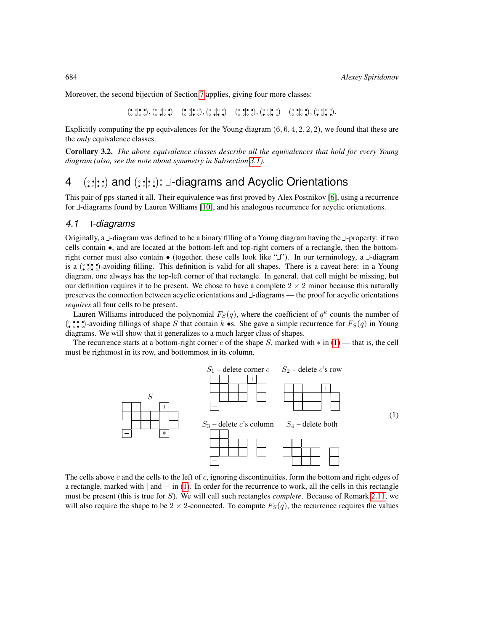Moreover, the second bijection of Section [7](#page-12-2) applies, giving four more classes:

 $\left(\begin{array}{cc} \circ & \circ & \circ \\ \circ & \circ & \circ \\ \circ & \circ & \circ \end{array}\right),\left(\begin{array}{ccc} \circ & \circ & \circ \\ \circ & \circ & \circ \\ \circ & \circ & \circ \end{array}\right),\left(\begin{array}{cc} \circ & \circ & \circ \\ \circ & \circ & \circ \\ \circ & \circ & \circ \end{array}\right),\left(\begin{array}{cc} \circ & \circ & \circ \\ \circ & \circ & \circ \\ \circ & \circ & \circ \end{array}\right),\left(\begin{array}{cc} \circ & \circ & \circ \\ \circ & \circ & \circ \\ \circ & \circ & \circ \end{array}\right),\left(\begin{array}{cc} \$ 

Explicitly computing the pp equivalences for the Young diagram  $(6, 6, 4, 2, 2, 2)$ , we found that these are the *only* equivalence classes.

<span id="page-7-1"></span>Corollary 3.2. *The above equivalence classes describe all the equivalences that hold for every Young diagram (also, see the note about symmetry in Subsection [3.1\)](#page-4-2).*

# <span id="page-7-0"></span>4 (::::) and (:::::): J-diagrams and Acyclic Orientations

This pair of pps started it all. Their equivalence was first proved by Alex Postnikov [\[6\]](#page-13-2), using a recurrence for  $\perp$ -diagrams found by Lauren Williams [\[10\]](#page-13-3), and his analogous recurrence for acyclic orientations.

#### <span id="page-7-3"></span>*4.1 -diagrams*

Originally, a  $\perp$ -diagram was defined to be a binary filling of a Young diagram having the  $\perp$ -property: if two cells contain •, and are located at the bottom-left and top-right corners of a rectangle, then the bottomright corner must also contain  $\bullet$  (together, these cells look like " $\Box$ "). In our terminology, a  $\Box$ -diagram is a ( ◦ • • ◦| • • • ◦)-avoiding filling. This definition is valid for all shapes. There is a caveat here: in a Young diagram, one always has the top-left corner of that rectangle. In general, that cell might be missing, but our definition requires it to be present. We chose to have a complete  $2 \times 2$  minor because this naturally preserves the connection between acyclic orientations and  $\perp$ -diagrams — the proof for acyclic orientations *requires* all four cells to be present.

Lauren Williams introduced the polynomial  $F_S(q)$ , where the coefficient of  $q^k$  counts the number of  $(\hat{\cdot}, \hat{\cdot})$ -avoiding fillings of shape S that contain k •s. She gave a simple recurrence for  $F_S(q)$  in Young diagrams. We will show that it generalizes to a much larger class of shapes.

The recurrence starts at a bottom-right corner c of the shape S, marked with  $*$  in [\(1\)](#page-7-2) — that is, the cell must be rightmost in its row, and bottommost in its column.

<span id="page-7-2"></span>

The cells above  $c$  and the cells to the left of  $c$ , ignoring discontinuities, form the bottom and right edges of a rectangle, marked with  $|$  and  $-$  in [\(1\)](#page-7-2). In order for the recurrence to work, all the cells in this rectangle must be present (this is true for S). We will call such rectangles *complete*. Because of Remark [2.11,](#page-4-3) we will also require the shape to be  $2 \times 2$ -connected. To compute  $F_S(q)$ , the recurrence requires the values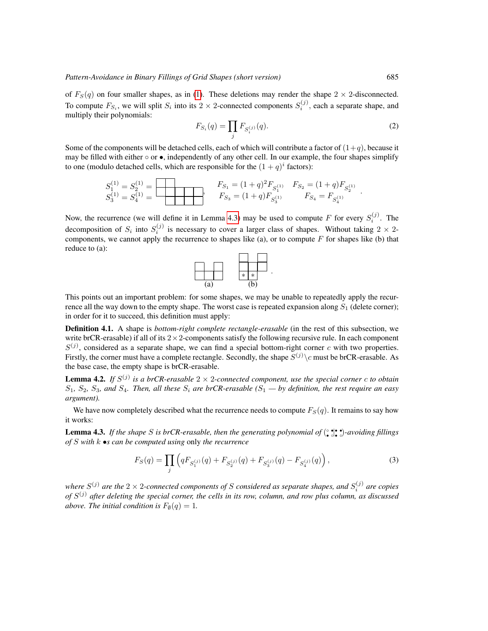of  $F_S(q)$  on four smaller shapes, as in [\(1\)](#page-7-2). These deletions may render the shape  $2 \times 2$ -disconnected. To compute  $F_{S_i}$ , we will split  $S_i$  into its 2  $\times$  2-connected components  $S_i^{(j)}$ , each a separate shape, and multiply their polynomials:

$$
F_{S_i}(q) = \prod_j F_{S_i^{(j)}}(q). \tag{2}
$$

Some of the components will be detached cells, each of which will contribute a factor of  $(1+q)$ , because it may be filled with either  $\circ$  or  $\bullet$ , independently of any other cell. In our example, the four shapes simplify to one (modulo detached cells, which are responsible for the  $(1+q)^i$  factors):

$$
S_1^{(1)} = S_2^{(1)} = \n\begin{array}{c}\nF_{S_1} = (1+q)^2 F_{S_1^{(1)}} & F_{S_2} = (1+q) F_{S_2^{(1)}} \\
F_{S_3} = (1+q) F_{S_3^{(1)}} & F_{S_4} = F_{S_4^{(1)}}\n\end{array}.
$$

Now, the recurrence (we will define it in Lemma [4.3\)](#page-8-1) may be used to compute F for every  $S_i^{(j)}$ . The decomposition of  $S_i$  into  $S_i^{(j)}$  is necessary to cover a larger class of shapes. Without taking  $2 \times 2$ components, we cannot apply the recurrence to shapes like (a), or to compute  $F$  for shapes like (b) that reduce to (a):



This points out an important problem: for some shapes, we may be unable to repeatedly apply the recurrence all the way down to the empty shape. The worst case is repeated expansion along  $S_1$  (delete corner); in order for it to succeed, this definition must apply:

<span id="page-8-0"></span>Definition 4.1. A shape is *bottom-right complete rectangle-erasable* (in the rest of this subsection, we write brCR-erasable) if all of its  $2 \times 2$ -components satisfy the following recursive rule. In each component  $S^{(j)}$ , considered as a separate shape, we can find a special bottom-right corner c with two properties. Firstly, the corner must have a complete rectangle. Secondly, the shape  $S^{(j)}\backslash c$  must be brCR-erasable. As the base case, the empty shape is brCR-erasable.

<span id="page-8-2"></span>**Lemma 4.2.** If  $S^{(j)}$  is a brCR-erasable  $2 \times 2$ -connected component, use the special corner c to obtain  $S_1$ ,  $S_2$ ,  $S_3$ , and  $S_4$ . Then, all these  $S_i$  are brCR-erasable ( $S_1$  — by definition, the rest require an easy *argument).*

We have now completely described what the recurrence needs to compute  $F_S(q)$ . It remains to say how it works:

<span id="page-8-1"></span>Lemma 4.3. If the shape S is brCR-erasable, then the generating polynomial of  $(\cdot, \cdot)$ :  $\cdot$ )-avoiding fillings *of* S *with* k •*s can be computed using* only *the recurrence*

<span id="page-8-3"></span>
$$
F_S(q) = \prod_j \left( q F_{S_1^{(j)}}(q) + F_{S_2^{(j)}}(q) + F_{S_3^{(j)}}(q) - F_{S_4^{(j)}}(q) \right),\tag{3}
$$

where  $S^{(j)}$  are the 2  $\times$  2-connected components of S considered as separate shapes, and  $S_i^{(j)}$  are copies *of* S (j) *after deleting the special corner, the cells in its row, column, and row plus column, as discussed above. The initial condition is*  $F_{\emptyset}(q) = 1$ *.*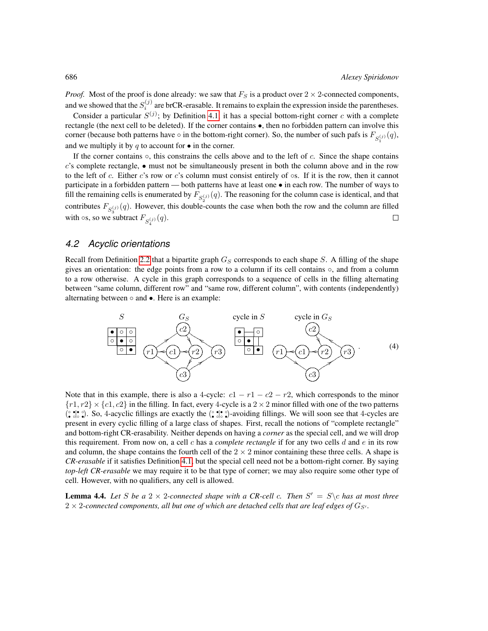*Proof.* Most of the proof is done already: we saw that  $F_S$  is a product over  $2 \times 2$ -connected components, and we showed that the  $S_i^{(j)}$  are brCR-erasable. It remains to explain the expression inside the parentheses.

Consider a particular  $S^{(j)}$ ; by Definition [4.1,](#page-8-0) it has a special bottom-right corner c with a complete rectangle (the next cell to be deleted). If the corner contains •, then no forbidden pattern can involve this corner (because both patterns have  $\circ$  in the bottom-right corner). So, the number of such pafs is  $F_{S_1^{(j)}}(q)$ , and we multiply it by q to account for  $\bullet$  in the corner.

If the corner contains  $\circ$ , this constrains the cells above and to the left of c. Since the shape contains  $c$ 's complete rectangle,  $\bullet$  must not be simultaneously present in both the column above and in the row to the left of c. Either c's row or c's column must consist entirely of  $\circ$ s. If it is the row, then it cannot participate in a forbidden pattern — both patterns have at least one • in each row. The number of ways to fill the remaining cells is enumerated by  $F_{S_2^{(j)}}(q)$ . The reasoning for the column case is identical, and that contributes  $F_{S_3^{(j)}}(q)$ . However, this double-counts the case when both the row and the column are filled with  $\circ$ s, so we subtract  $F_{S_4^{(j)}}(q)$ .  $\Box$ 

#### *4.2 Acyclic orientations*

Recall from Definition [2.2](#page-3-2) that a bipartite graph  $G_S$  corresponds to each shape S. A filling of the shape gives an orientation: the edge points from a row to a column if its cell contains  $\circ$ , and from a column to a row otherwise. A cycle in this graph corresponds to a sequence of cells in the filling alternating between "same column, different row" and "same row, different column", with contents (independently) alternating between ◦ and •. Here is an example:

<span id="page-9-1"></span>

Note that in this example, there is also a 4-cycle:  $c1 - r1 - c2 - r2$ , which corresponds to the minor  $\{r1, r2\} \times \{c1, c2\}$  in the filling. In fact, every 4-cycle is a  $2 \times 2$  minor filled with one of the two patterns  $(\hat{\bullet}, \hat{\bullet}, \hat{\bullet})$ . So, 4-acyclic fillings are exactly the  $(\hat{\bullet}, \hat{\bullet}, \hat{\bullet})$ -avoiding fillings. We will soon see that 4-cycles are present in every cyclic filling of a large class of shapes. First, recall the notions of "complete rectangle" and bottom-right CR-erasability. Neither depends on having a *corner* as the special cell, and we will drop this requirement. From now on, a cell c has a *complete rectangle* if for any two cells d and e in its row and column, the shape contains the fourth cell of the  $2 \times 2$  minor containing these three cells. A shape is *CR-erasable* if it satisfies Definition [4.1,](#page-8-0) but the special cell need not be a bottom-right corner. By saying *top-left CR-erasable* we may require it to be that type of corner; we may also require some other type of cell. However, with no qualifiers, any cell is allowed.

<span id="page-9-0"></span>**Lemma 4.4.** Let S be a  $2 \times 2$ -connected shape with a CR-cell c. Then  $S' = S \setminus c$  has at most three  $2 \times 2$ -connected components, all but one of which are detached cells that are leaf edges of  $G_{S'}$ .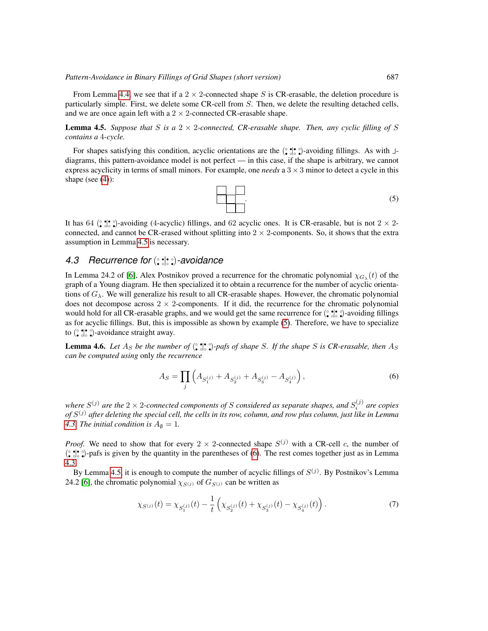From Lemma [4.4,](#page-9-0) we see that if a  $2 \times 2$ -connected shape S is CR-erasable, the deletion procedure is particularly simple. First, we delete some CR-cell from S. Then, we delete the resulting detached cells, and we are once again left with a  $2 \times 2$ -connected CR-erasable shape.

<span id="page-10-0"></span>**Lemma 4.5.** Suppose that S is a  $2 \times 2$ -connected, CR-erasable shape. Then, any cyclic filling of S *contains a* 4*-cycle.*

<span id="page-10-1"></span>For shapes satisfying this condition, acyclic orientations are the  $(\hat{\zeta}, \hat{\zeta}, \hat{\zeta})$ -avoiding fillings. As with  $\perp$ diagrams, this pattern-avoidance model is not perfect — in this case, if the shape is arbitrary, we cannot express acyclicity in terms of small minors. For example, one *needs* a 3 × 3 minor to detect a cycle in this shape (see [\(4\)](#page-9-1)):

$$
\begin{array}{|c|c|c|c|}\n\hline\n\hline\n\end{array}
$$

It has 64 ( $\binom{•}{•}$ ,  $\binom{•}{•}$ -avoiding (4-acyclic) fillings, and 62 acyclic ones. It is CR-erasable, but is not  $2 \times 2$ connected, and cannot be CR-erased without splitting into  $2 \times 2$ -components. So, it shows that the extra assumption in Lemma [4.5](#page-10-0) is necessary.

#### *4.3 Recurrence for* ( ◦ • • ◦| • ◦ ◦ •)*-avoidance*

In Lemma 24.2 of [\[6\]](#page-13-2), Alex Postnikov proved a recurrence for the chromatic polynomial  $\chi_{G_\lambda}(t)$  of the graph of a Young diagram. He then specialized it to obtain a recurrence for the number of acyclic orientations of  $G_\lambda$ . We will generalize his result to all CR-erasable shapes. However, the chromatic polynomial does not decompose across  $2 \times 2$ -components. If it did, the recurrence for the chromatic polynomial would hold for all CR-erasable graphs, and we would get the same recurrence for  $(\frac{\circ}{\bullet} \cdot \frac{\bullet}{\circ} \circ)$ -avoiding fillings as for acyclic fillings. But, this is impossible as shown by example [\(5\)](#page-10-1). Therefore, we have to specialize to  $(\cdot \bullet) \bullet \bullet)$ -avoidance straight away.

**Lemma 4.6.** Let  $A_S$  be the number of  $(\cdot, \cdot)$ ,  $\cdot$   $\cdot$ ,  $\cdot$   $\cdot$   $\cdot$  of shape *S*. If the shape *S* is CR-erasable, then  $A_S$ *can be computed using* only *the recurrence*

<span id="page-10-2"></span>
$$
A_S = \prod_j \left( A_{S_1^{(j)}} + A_{S_2^{(j)}} + A_{S_3^{(j)}} - A_{S_4^{(j)}} \right),\tag{6}
$$

where  $S^{(j)}$  are the 2  $\times$  2-connected components of S considered as separate shapes, and  $S_i^{(j)}$  are copies *of* S (j) *after deleting the special cell, the cells in its row, column, and row plus column, just like in Lemma [4.3.](#page-8-1) The initial condition is*  $A_{\emptyset} = 1$ *.* 

*Proof.* We need to show that for every  $2 \times 2$ -connected shape  $S^{(j)}$  with a CR-cell c, the number of  $\binom{•}{•}$   $\binom{•}{•}$  pafs is given by the quantity in the parentheses of [\(6\)](#page-10-2). The rest comes together just as in Lemma [4.3.](#page-8-1)

By Lemma [4.5,](#page-10-0) it is enough to compute the number of acyclic fillings of  $S^{(j)}$ . By Postnikov's Lemma 24.2 [\[6\]](#page-13-2), the chromatic polynomial  $\chi_{S^{(j)}}$  of  $G_{S^{(j)}}$  can be written as

<span id="page-10-3"></span>
$$
\chi_{S^{(j)}}(t) = \chi_{S_1^{(j)}}(t) - \frac{1}{t} \left( \chi_{S_2^{(j)}}(t) + \chi_{S_3^{(j)}}(t) - \chi_{S_4^{(j)}}(t) \right). \tag{7}
$$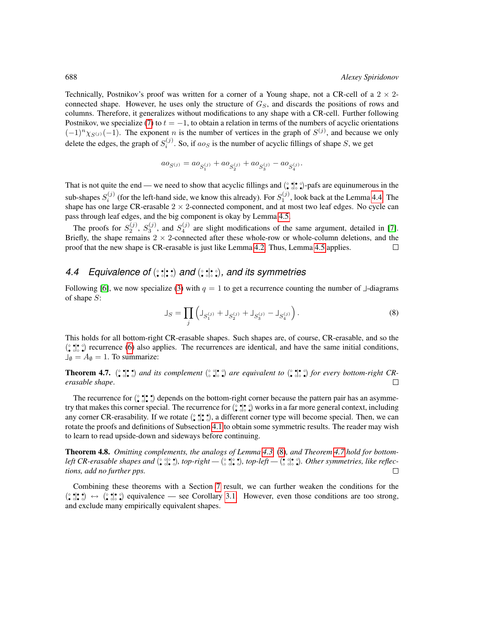Technically, Postnikov's proof was written for a corner of a Young shape, not a CR-cell of a  $2 \times 2$ connected shape. However, he uses only the structure of  $G<sub>S</sub>$ , and discards the positions of rows and columns. Therefore, it generalizes without modifications to any shape with a CR-cell. Further following Postnikov, we specialize [\(7\)](#page-10-3) to  $t = -1$ , to obtain a relation in terms of the numbers of acyclic orientations  $(-1)^n \chi_{S^{(j)}}(-1)$ . The exponent *n* is the number of vertices in the graph of  $S^{(j)}$ , and because we only delete the edges, the graph of  $S_i^{(j)}$ . So, if  $a_0s$  is the number of acyclic fillings of shape S, we get

$$
a_0S(j)} = a_0S_1^{(j)} + a_0S_2^{(j)} + a_0S_3^{(j)} - a_0S_4^{(j)}.
$$

That is not quite the end — we need to show that acyclic fillings and  $(\hat{\zeta}, \hat{\zeta}, \hat{\zeta})$ -pafs are equinumerous in the sub-shapes  $S_i^{(j)}$  (for the left-hand side, we know this already). For  $S_1^{(j)}$ , look back at the Lemma [4.4.](#page-9-0) The shape has one large CR-erasable  $2 \times 2$ -connected component, and at most two leaf edges. No cycle can pass through leaf edges, and the big component is okay by Lemma [4.5.](#page-10-0)

The proofs for  $S_2^{(j)}$ ,  $S_3^{(j)}$ , and  $S_4^{(j)}$  are slight modifications of the same argument, detailed in [\[7\]](#page-13-0). Briefly, the shape remains  $2 \times 2$ -connected after these whole-row or whole-column deletions, and the proof that the new shape is CR-erasable is just like Lemma [4.2.](#page-8-2) Thus, Lemma [4.5](#page-10-0) applies.  $\Box$ 

#### 4.4 Equivalence of ( $\circ$ **;**| $\cdot$ ;) and ( $\circ$ ;| $\cdot$ ;), and its symmetries

<span id="page-11-2"></span>Following [\[6\]](#page-13-2), we now specialize [\(3\)](#page-8-3) with  $q = 1$  to get a recurrence counting the number of  $\perp$ -diagrams of shape S:

$$
\Box_S = \prod_j \left( \Box_{S_1^{(j)}} + \Box_{S_2^{(j)}} + \Box_{S_3^{(j)}} - \Box_{S_4^{(j)}} \right). \tag{8}
$$

This holds for all bottom-right CR-erasable shapes. Such shapes are, of course, CR-erasable, and so the  $(\hat{\zeta}, \hat{\zeta}, \hat{\zeta})$  recurrence [\(6\)](#page-10-2) also applies. The recurrences are identical, and have the same initial conditions,  $\Box_{\emptyset} = A_{\emptyset} = 1$ . To summarize:

<span id="page-11-0"></span>**Theorem 4.7.**  $(\cdot \bullet) \bullet \bullet)$  and its complement  $(\cdot \bullet) \bullet \bullet)$  are equivalent to  $(\cdot \bullet) \bullet \bullet)$  for every bottom-right CR*erasable shape*.  $\Box$ 

The recurrence for  $(\cdot \bullet)$ :  $\bullet$  depends on the bottom-right corner because the pattern pair has an asymmetry that makes this corner special. The recurrence for (° ; • °) works in a far more general context, including any corner CR-erasability. If we rotate  $(\cdot, \cdot)$ , a different corner type will become special. Then, we can rotate the proofs and definitions of Subsection [4.1](#page-7-3) to obtain some symmetric results. The reader may wish to learn to read upside-down and sideways before continuing.

<span id="page-11-1"></span>Theorem 4.8. *Omitting complements, the analogs of Lemma [4.3,](#page-8-1)* [\(8\)](#page-11-2)*, and Theorem [4.7](#page-11-0) hold for bottomleft CR-erasable shapes and* (° ° • °), top-right — (° ° • °), top-left — (° ° • °). Other symmetries, like reflec*tions, add no further pps.*  $\Box$ 

Combining these theorems with a Section [7](#page-12-2) result, we can further weaken the conditions for the  $(\hat{\bullet}, \hat{\bullet}, \hat{\bullet}) \leftrightarrow (\hat{\bullet}, \hat{\bullet}, \hat{\bullet})$  equivalence — see Corollary [3.1.](#page-6-1) However, even those conditions are too strong, and exclude many empirically equivalent shapes.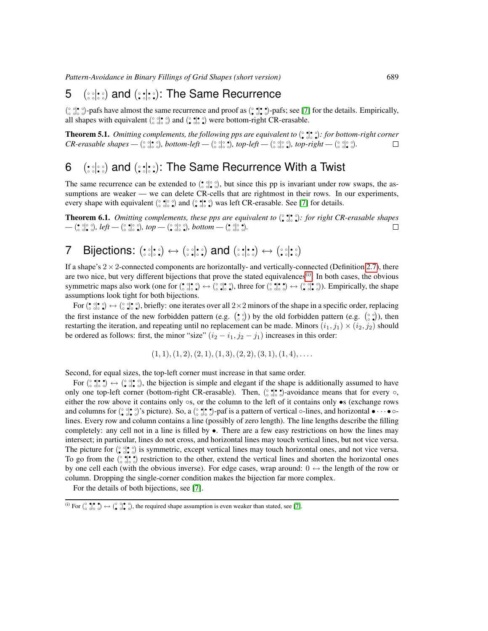*Pattern-Avoidance in Binary Fillings of Grid Shapes (short version)* 689

#### <span id="page-12-0"></span>5 ( ಃಃಃ and (:: :: ): The Same Recurrence

 $\binom{\circ}{\circ}\cdot\binom{\bullet}{\circ}\cdot\cdot$   $\circ$  pafs have almost the same recurrence and proof as  $\binom{\circ}{\bullet}\cdot\cdot\cdot$   $\circ$  pafs; see [\[7\]](#page-13-0) for the details. Empirically, all shapes with equivalent  $\binom{\circ}{\circ} \binom{\bullet}{\circ}$  and  $\binom{\circ}{\bullet} \binom{\bullet}{\circ} \bullet$  were bottom-right CR-erasable.

<span id="page-12-3"></span>**Theorem 5.1.** *Omitting complements, the following pps are equivalent to* (° <sup>•</sup>)•• (• 5): *for bottom-right corner CR-erasable shapes* — ( $\frac{\circ}{\circ}$  older), bottom-left — ( $\frac{\circ}{\circ}$  older), top-left — ( $\frac{\circ}{\circ}$  older), top-right — ( $\frac{\circ}{\circ}$  older).  $\Box$ 

#### <span id="page-12-1"></span>6 (  $:$ ¦∷) and ( $:$ ;¦∷): The Same Recurrence With a Twist

The same recurrence can be extended to  $(\bullet \circ \circ) \circ \circ)$ , but since this pp is invariant under row swaps, the assumptions are weaker — we can delete CR-cells that are rightmost in their rows. In our experiments, every shape with equivalent  $(\circ \bullet) \circ \bullet)$  and  $(\circ \bullet) \circ \bullet)$  was left CR-erasable. See [\[7\]](#page-13-0) for details.

<span id="page-12-4"></span>**Theorem 6.1.** *Omitting complements, these pps are equivalent to*  $(\frac{\circ}{\bullet} \cdot \frac{\circ}{\circ})$ *: for right CR-erasable shapes* — (• °|° °)*, left* — (° °|° °)*, top* — (° °|° °)*, bottom* — (• °|° •).  $\Box$ 

# <span id="page-12-2"></span>7 Bijections:  $(:;;*) \leftrightarrow (``;;*)$  and  $(:;;*) \leftrightarrow (``;*;*)$

If a shape's  $2 \times 2$ -connected components are horizontally- and vertically-connected (Definition [2.7\)](#page-3-1), there are two nice, but very different bijections that prove the stated equivalences<sup>[\(i\)](#page-12-5)</sup>. In both cases, the obvious symmetric maps also work (one for  $(\circ \circ \circ \circ) \leftrightarrow (\circ \circ \circ \circ)$ , three for  $(\circ \circ \circ \circ \circ) \leftrightarrow (\circ \circ \circ \circ)$ ). Empirically, the shape assumptions look tight for both bijections.

For ( • ◦ ◦ ◦| • ◦ ◦ •) ↔ ( ◦ ◦ ◦ •| • ◦ ◦ •), briefly: one iterates over all 2×2 minors of the shape in a specific order, replacing the first instance of the new forbidden pattern (e.g.  $(\begin{array}{c} \circ \\ \circ \end{array})$ ) by the old forbidden pattern (e.g.  $(\begin{array}{c} \circ \\ \circ \end{array})$ ), then restarting the iteration, and repeating until no replacement can be made. Minors  $(i_1, j_1) \times (i_2, j_2)$  should be ordered as follows: first, the minor "size"  $(i_2 - i_1, j_2 - j_1)$  increases in this order:

$$
(1,1), (1,2), (2,1), (1,3), (2,2), (3,1), (1,4), \ldots
$$

Second, for equal sizes, the top-left corner must increase in that same order.

For  $(\circ \circ \circ \circ \circ) \leftrightarrow (\circ \circ \circ \circ)$ , the bijection is simple and elegant if the shape is additionally assumed to have only one top-left corner (bottom-right CR-erasable). Then, ( $\circ$ ,  $\bullet$ ,  $\bullet$ )-avoidance means that for every  $\circ$ , either the row above it contains only ∘s, or the column to the left of it contains only •s (exchange rows and columns for  $(\circ \circ| \circ \circ)$ 's picture). So, a  $(\circ \circ| \circ)$ -paf is a pattern of vertical  $\circ$ -lines, and horizontal  $\bullet \cdots \bullet \circ$ lines. Every row and column contains a line (possibly of zero length). The line lengths describe the filling completely: any cell not in a line is filled by •. There are a few easy restrictions on how the lines may intersect; in particular, lines do not cross, and horizontal lines may touch vertical lines, but not vice versa. The picture for  $(\circ \circ) \bullet \circ$  is symmetric, except vertical lines may touch horizontal ones, and not vice versa. To go from the  $(\circ \bullet) \bullet \bullet)$  restriction to the other, extend the vertical lines and shorten the horizontal ones by one cell each (with the obvious inverse). For edge cases, wrap around:  $0 \leftrightarrow$  the length of the row or column. Dropping the single-corner condition makes the bijection far more complex.

For the details of both bijections, see [\[7\]](#page-13-0).

<span id="page-12-5"></span><sup>(</sup>i) For  $\begin{pmatrix} \circ & \bullet & \bullet & \bullet \\ \circ & \circ & \circ & \bullet \\ \bullet & \circ & \bullet & \bullet \end{pmatrix}$ , the required shape assumption is even weaker than stated, see [\[7\]](#page-13-0).